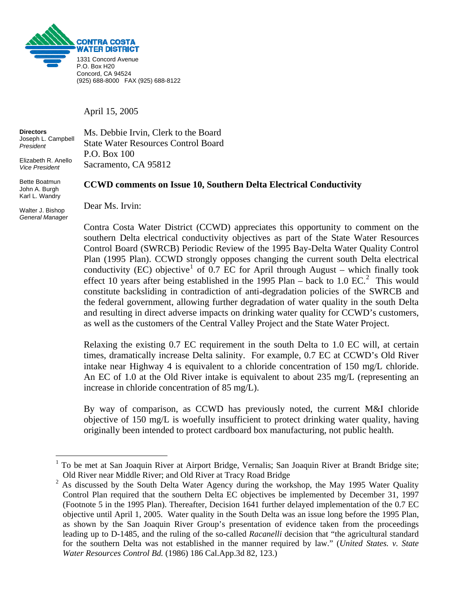

April 15, 2005

**Directors** Ms. Debbie Irvin, Clerk to the Board Joseph L. Campbell *President*  Elizabeth R. Anello *Vice President*  State Water Resources Control Board P.O. Box 100 Sacramento, CA 95812

## **CCWD comments on Issue 10, Southern Delta Electrical Conductivity**

Walter J. Bishop *General Manager*

1

Bette Boatmun John A. Burgh Karl L. Wandry

Dear Ms. Irvin:

Contra Costa Water District (CCWD) appreciates this opportunity to comment on the southern Delta electrical conductivity objectives as part of the State Water Resources Control Board (SWRCB) Periodic Review of the 1995 Bay-Delta Water Quality Control Plan (1995 Plan). CCWD strongly opposes changing the current south Delta electrical conductivity (EC) objective<sup>[1](#page-0-0)</sup> of 0.7 EC for April through August – which finally took effect 10 years after being established in the  $1995$  Plan – back to 1.0 EC.<sup>[2](#page-0-1)</sup> This would constitute backsliding in contradiction of anti-degradation policies of the SWRCB and the federal government, allowing further degradation of water quality in the south Delta and resulting in direct adverse impacts on drinking water quality for CCWD's customers, as well as the customers of the Central Valley Project and the State Water Project.

Relaxing the existing 0.7 EC requirement in the south Delta to 1.0 EC will, at certain times, dramatically increase Delta salinity. For example, 0.7 EC at CCWD's Old River intake near Highway 4 is equivalent to a chloride concentration of 150 mg/L chloride. An EC of 1.0 at the Old River intake is equivalent to about 235 mg/L (representing an increase in chloride concentration of 85 mg/L).

By way of comparison, as CCWD has previously noted, the current M&I chloride objective of 150 mg/L is woefully insufficient to protect drinking water quality, having originally been intended to protect cardboard box manufacturing, not public health.

<span id="page-0-0"></span><sup>1</sup> To be met at San Joaquin River at Airport Bridge, Vernalis; San Joaquin River at Brandt Bridge site; Old River near Middle River; and Old River at Tracy Road Bridge

<span id="page-0-1"></span><sup>2</sup> As discussed by the South Delta Water Agency during the workshop, the May 1995 Water Quality Control Plan required that the southern Delta EC objectives be implemented by December 31, 1997 (Footnote 5 in the 1995 Plan). Thereafter, Decision 1641 further delayed implementation of the 0.7 EC objective until April 1, 2005. Water quality in the South Delta was an issue long before the 1995 Plan, as shown by the San Joaquin River Group's presentation of evidence taken from the proceedings leading up to D-1485, and the ruling of the so-called *Racanelli* decision that "the agricultural standard for the southern Delta was not established in the manner required by law." (*United States. v. State Water Resources Control Bd.* (1986) 186 Cal.App.3d 82, 123.)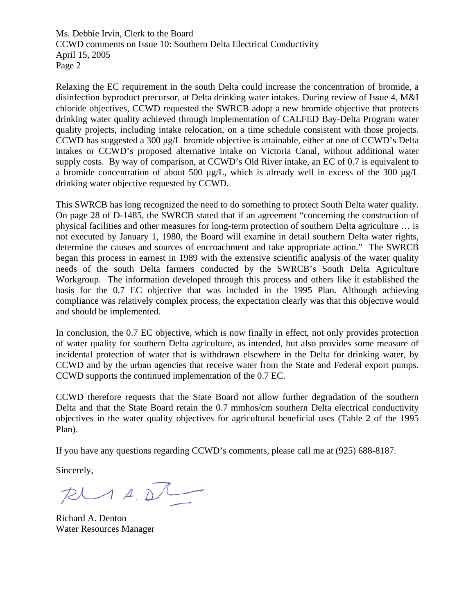Ms. Debbie Irvin, Clerk to the Board CCWD comments on Issue 10: Southern Delta Electrical Conductivity April 15, 2005 Page 2

Relaxing the EC requirement in the south Delta could increase the concentration of bromide, a disinfection byproduct precursor, at Delta drinking water intakes. During review of Issue 4, M&I chloride objectives, CCWD requested the SWRCB adopt a new bromide objective that protects drinking water quality achieved through implementation of CALFED Bay-Delta Program water quality projects, including intake relocation, on a time schedule consistent with those projects. CCWD has suggested a 300 μg/L bromide objective is attainable, either at one of CCWD's Delta intakes or CCWD's proposed alternative intake on Victoria Canal, without additional water supply costs. By way of comparison, at CCWD's Old River intake, an EC of 0.7 is equivalent to a bromide concentration of about 500 μg/L, which is already well in excess of the 300 μg/L drinking water objective requested by CCWD.

This SWRCB has long recognized the need to do something to protect South Delta water quality. On page 28 of D-1485, the SWRCB stated that if an agreement "concerning the construction of physical facilities and other measures for long-term protection of southern Delta agriculture … is not executed by January 1, 1980, the Board will examine in detail southern Delta water rights, determine the causes and sources of encroachment and take appropriate action." The SWRCB began this process in earnest in 1989 with the extensive scientific analysis of the water quality needs of the south Delta farmers conducted by the SWRCB's South Delta Agriculture Workgroup. The information developed through this process and others like it established the basis for the 0.7 EC objective that was included in the 1995 Plan. Although achieving compliance was relatively complex process, the expectation clearly was that this objective would and should be implemented.

In conclusion, the 0.7 EC objective, which is now finally in effect, not only provides protection of water quality for southern Delta agriculture, as intended, but also provides some measure of incidental protection of water that is withdrawn elsewhere in the Delta for drinking water, by CCWD and by the urban agencies that receive water from the State and Federal export pumps. CCWD supports the continued implementation of the 0.7 EC.

CCWD therefore requests that the State Board not allow further degradation of the southern Delta and that the State Board retain the 0.7 mmhos/cm southern Delta electrical conductivity objectives in the water quality objectives for agricultural beneficial uses (Table 2 of the 1995 Plan).

If you have any questions regarding CCWD's comments, please call me at (925) 688-8187.

Sincerely,

 $R$ 

Richard A. Denton Water Resources Manager